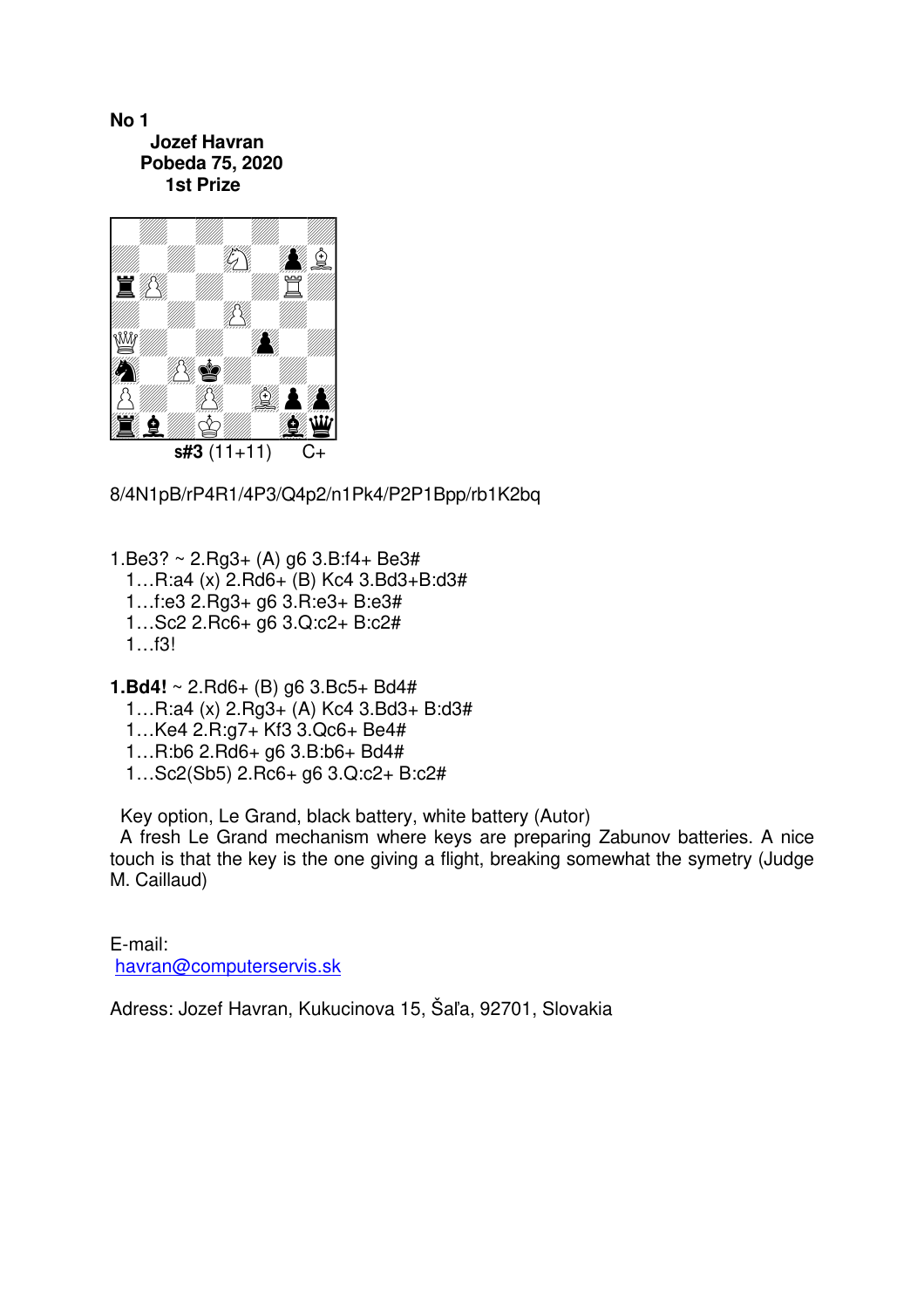**No 1 Jozef Havran Pobeda 75, 2020 1st Prize** 



8/4N1pB/rP4R1/4P3/Q4p2/n1Pk4/P2P1Bpp/rb1K2bq

1.Be3? ~ 2.Rg3+ (A) g6 3.B:f4+ Be3# 1…R:a4 (x) 2.Rd6+ (B) Kc4 3.Bd3+B:d3# 1…f:e3 2.Rg3+ g6 3.R:e3+ B:e3# 1…Sc2 2.Rc6+ g6 3.Q:c2+ B:c2# 1…f3!

**1.Bd4!** ~ 2.Rd6+ (B) g6 3.Bc5+ Bd4# 1…R:a4 (x) 2.Rg3+ (A) Kc4 3.Bd3+ B:d3# 1…Ke4 2.R:g7+ Kf3 3.Qc6+ Be4# 1…R:b6 2.Rd6+ g6 3.B:b6+ Bd4# 1…Sc2(Sb5) 2.Rc6+ g6 3.Q:c2+ B:c2#

Key option, Le Grand, black battery, white battery (Autor)

 A fresh Le Grand mechanism where keys are preparing Zabunov batteries. A nice touch is that the key is the one giving a flight, breaking somewhat the symetry (Judge M. Caillaud)

E-mail: havran@computerservis.sk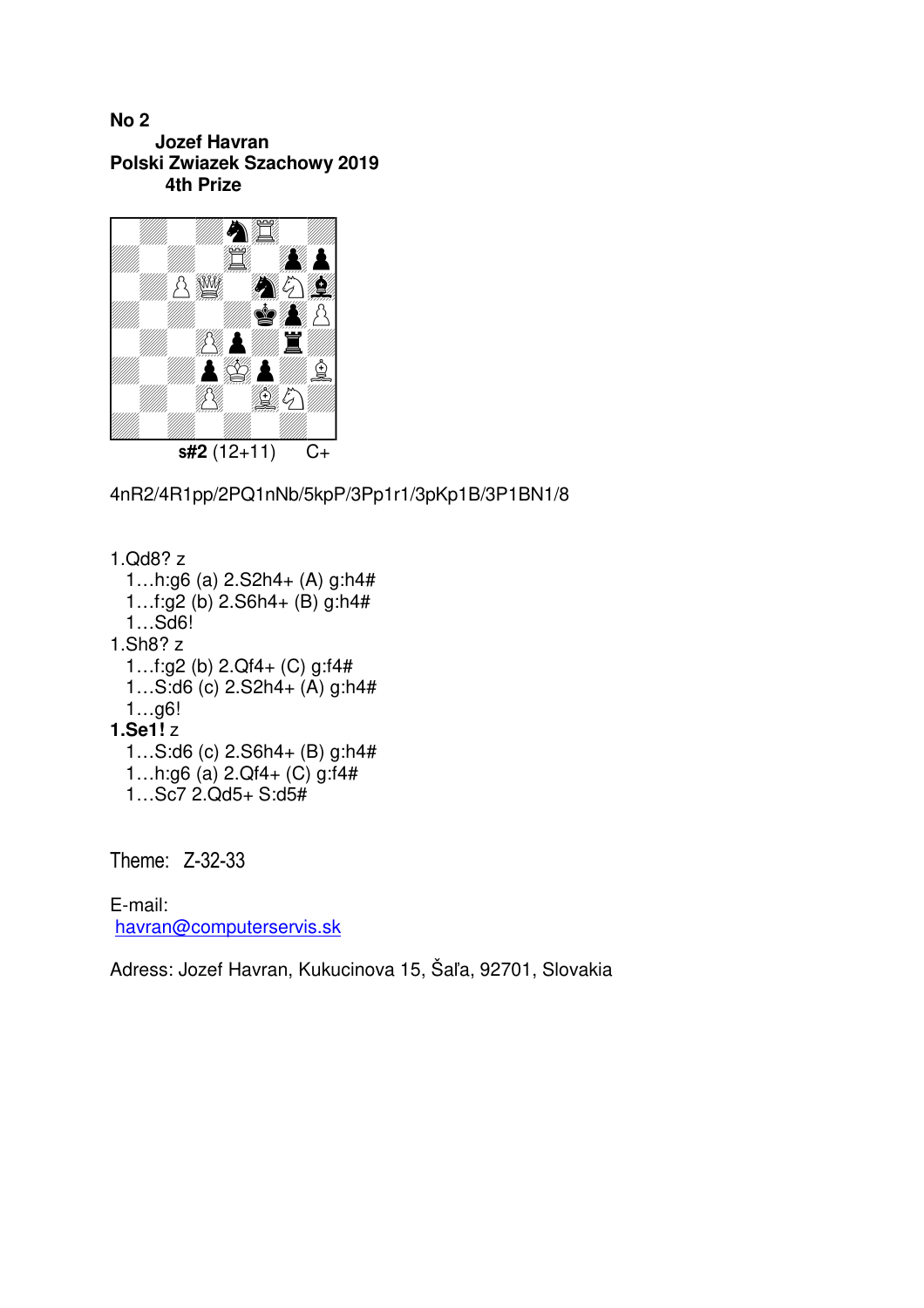**No 2 Jozef Havran Polski Zwiazek Szachowy 2019 4th Prize** 



4nR2/4R1pp/2PQ1nNb/5kpP/3Pp1r1/3pKp1B/3P1BN1/8

1.Qd8? z 1…h:g6 (a) 2.S2h4+ (A) g:h4# 1…f:g2 (b) 2.S6h4+ (B) g:h4# 1…Sd6! 1.Sh8? z 1…f:g2 (b) 2.Qf4+ (C) g:f4# 1…S:d6 (c) 2.S2h4+ (A) g:h4# 1…g6! **1.Se1!** z 1…S:d6 (c) 2.S6h4+ (B) g:h4# 1…h:g6 (a) 2.Qf4+ (C) g:f4# 1…Sc7 2.Qd5+ S:d5#

Theme: Z-32-33

E-mail: havran@computerservis.sk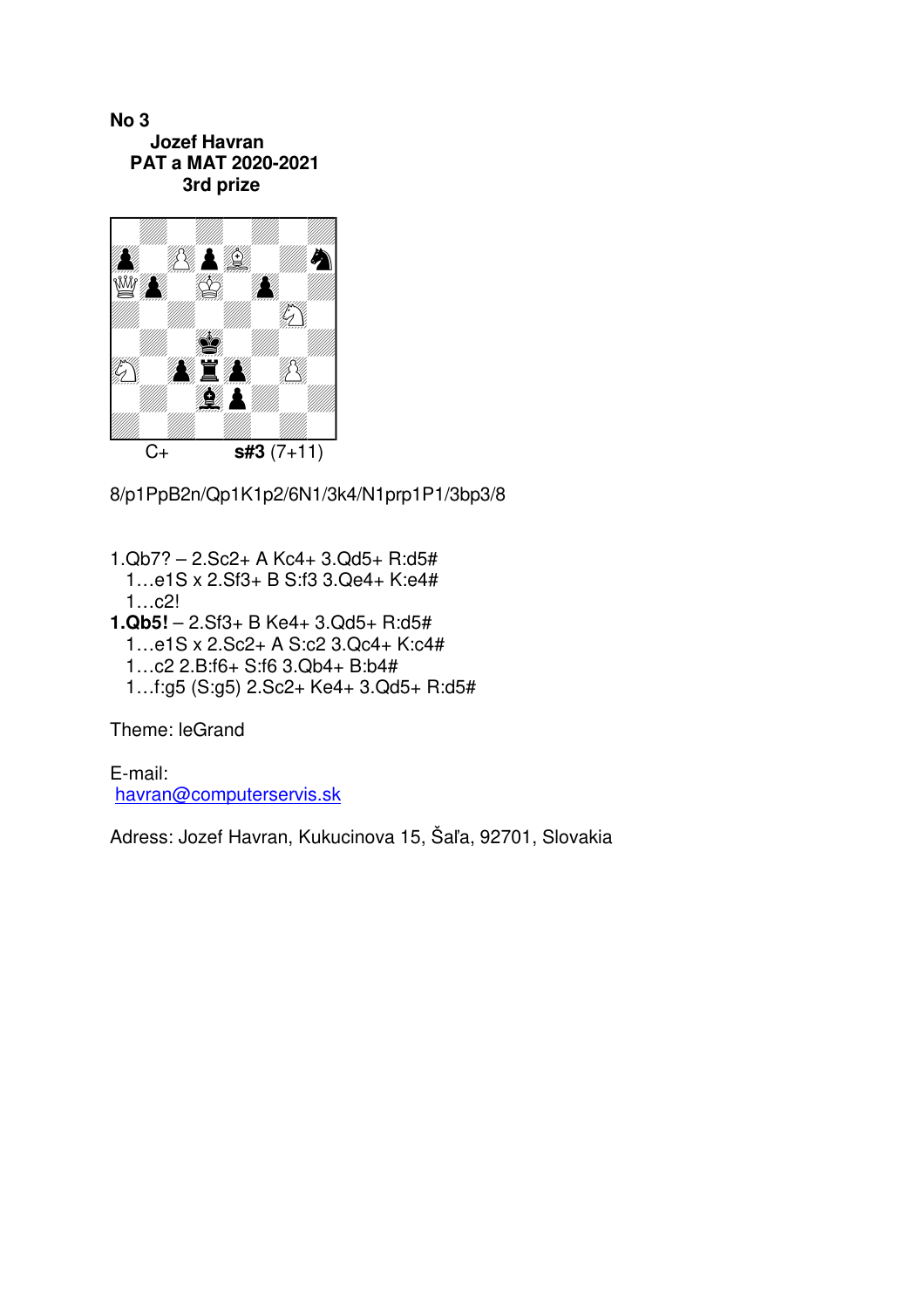**No 3 Jozef Havran PAT a MAT 2020-2021 3rd prize** 



8/p1PpB2n/Qp1K1p2/6N1/3k4/N1prp1P1/3bp3/8

- 1.Qb7? 2.Sc2+ A Kc4+ 3.Qd5+ R:d5# 1…e1S x 2.Sf3+ B S:f3 3.Qe4+ K:e4# 1…c2!
- **1.Qb5!** 2.Sf3+ B Ke4+ 3.Qd5+ R:d5# 1…e1S x 2.Sc2+ A S:c2 3.Qc4+ K:c4# 1…c2 2.B:f6+ S:f6 3.Qb4+ B:b4# 1…f:g5 (S:g5) 2.Sc2+ Ke4+ 3.Qd5+ R:d5#

Theme: leGrand

E-mail: havran@computerservis.sk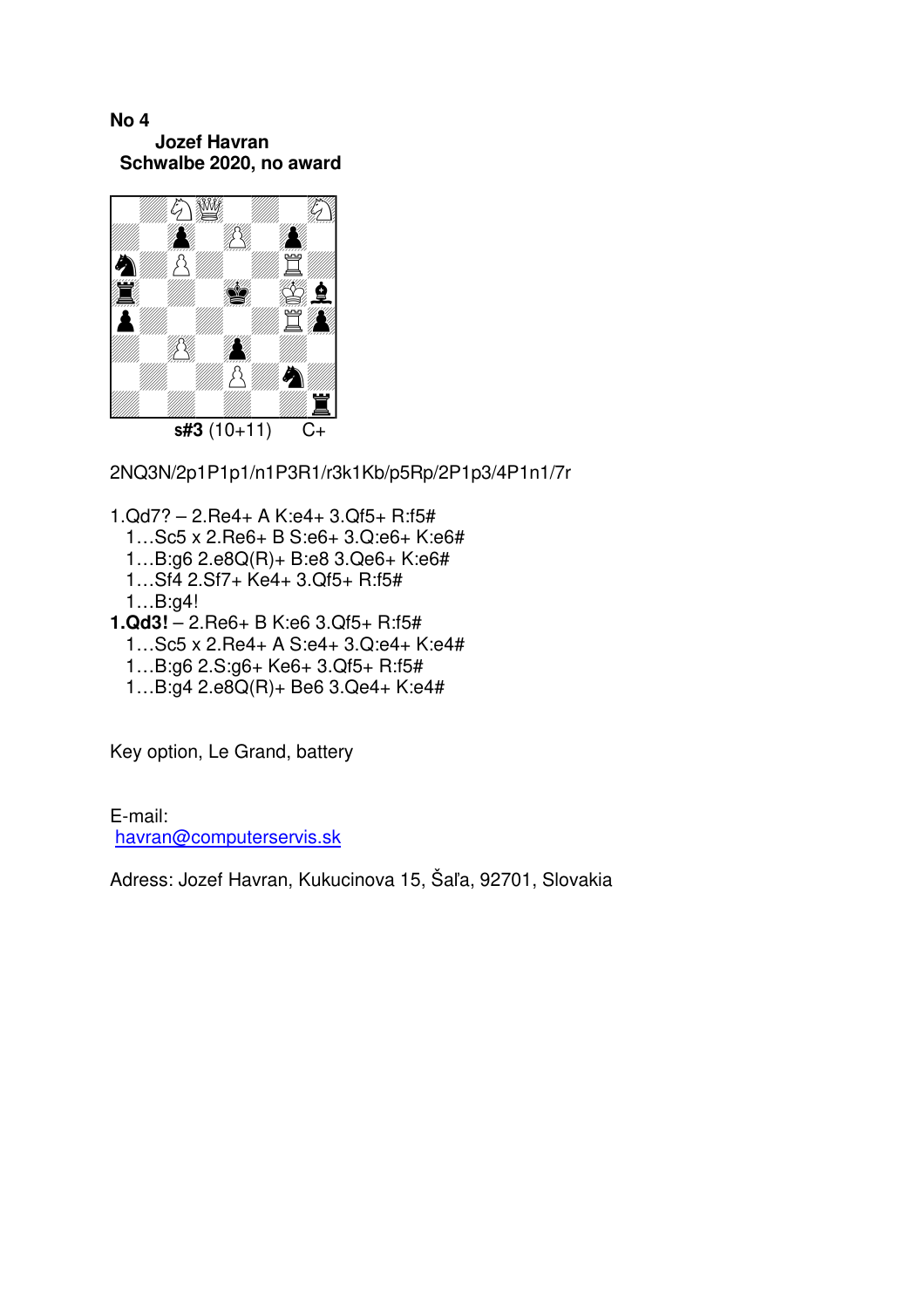## **No 4 Jozef Havran Schwalbe 2020, no award**



2NQ3N/2p1P1p1/n1P3R1/r3k1Kb/p5Rp/2P1p3/4P1n1/7r

- 1.Qd7? 2.Re4+ A K:e4+ 3.Qf5+ R:f5# 1…Sc5 x 2.Re6+ B S:e6+ 3.Q:e6+ K:e6# 1…B:g6 2.e8Q(R)+ B:e8 3.Qe6+ K:e6# 1…Sf4 2.Sf7+ Ke4+ 3.Qf5+ R:f5# 1…B:g4! **1.Qd3!** – 2.Re6+ B K:e6 3.Qf5+ R:f5#
- 1…Sc5 x 2.Re4+ A S:e4+ 3.Q:e4+ K:e4# 1…B:g6 2.S:g6+ Ke6+ 3.Qf5+ R:f5# 1…B:g4 2.e8Q(R)+ Be6 3.Qe4+ K:e4#

Key option, Le Grand, battery

E-mail: havran@computerservis.sk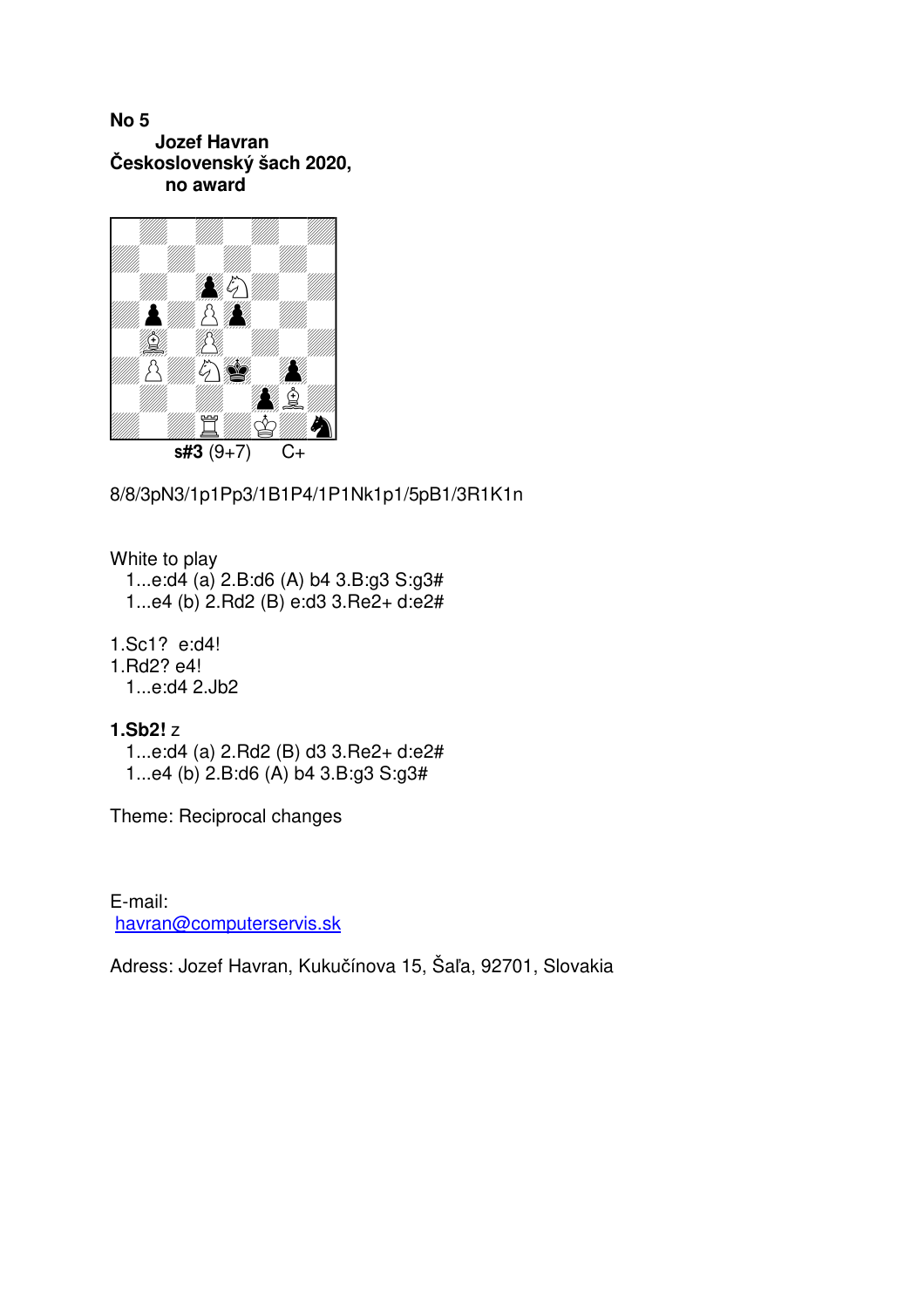## **No 5 Jozef Havran Československý šach 2020, no award**



8/8/3pN3/1p1Pp3/1B1P4/1P1Nk1p1/5pB1/3R1K1n

White to play

 1...e:d4 (a) 2.B:d6 (A) b4 3.B:g3 S:g3# 1...e4 (b) 2.Rd2 (B) e:d3 3.Re2+ d:e2#

1.Sc1? e:d4!

1.Rd2? e4!

1...e:d4 2.Jb2

- **1.Sb2!** z
	- 1...e:d4 (a) 2.Rd2 (B) d3 3.Re2+ d:e2# 1...e4 (b) 2.B:d6 (A) b4 3.B:g3 S:g3#

Theme: Reciprocal changes

E-mail: havran@computerservis.sk